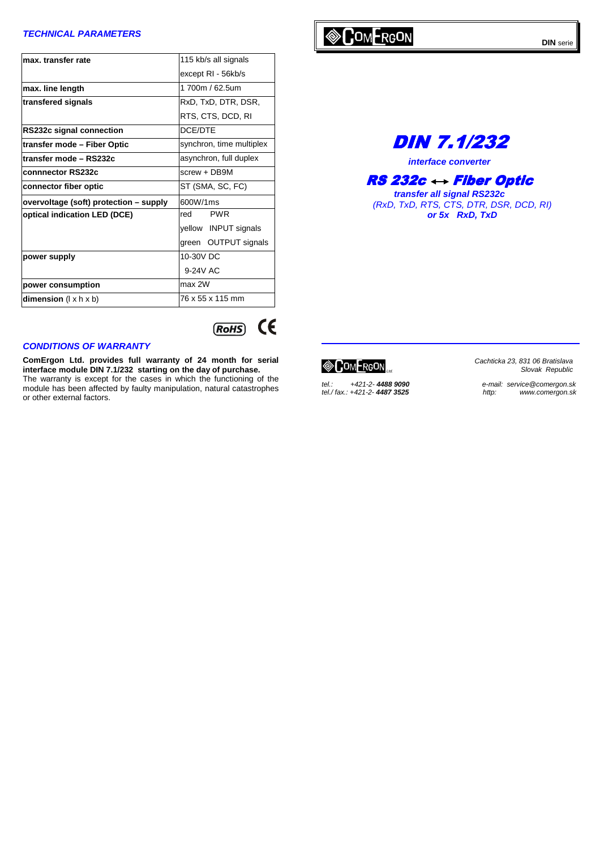### **TECHNICAL PARAMETERS**

| max, transfer rate                     | 115 kb/s all signals     |  |  |
|----------------------------------------|--------------------------|--|--|
|                                        | except RI - 56kb/s       |  |  |
| max. line length                       | 1 700m / 62.5um          |  |  |
| transfered signals                     | RxD, TxD, DTR, DSR,      |  |  |
|                                        | RTS, CTS, DCD, RI        |  |  |
| RS232c signal connection               | DCE/DTE                  |  |  |
| transfer mode – Fiber Optic            | synchron, time multiplex |  |  |
| transfer mode - RS232c                 | asynchron, full duplex   |  |  |
| connnector RS232c                      | $screw + DB9M$           |  |  |
| connector fiber optic                  | ST (SMA, SC, FC)         |  |  |
| overvoltage (soft) protection - supply | 600W/1ms                 |  |  |
| optical indication LED (DCE)           | <b>PWR</b><br>red        |  |  |
|                                        | yellow INPUT signals     |  |  |
|                                        | green OUTPUT signals     |  |  |
| power supply                           | 10-30V DC                |  |  |
|                                        | 9-24V AC                 |  |  |
| power consumption                      | max 2W                   |  |  |
| dimension $(l \times h \times b)$      | 76 x 55 x 115 mm         |  |  |

#### **CONDITIONS OF WARRANTY**

**ComErgon Ltd. provides full warranty of 24 month for serial interface module DIN 7.1/232 starting on the day of purchase.** The warranty is except for the cases in which the functioning of the module has been affected by faulty manipulation, natural catastrophes or other external factors.



# DIN 7.1/232

**interface converter** 

## $RS$  232c  $\leftrightarrow$  Fiber Optic

**transfer all signal RS232c**  (RxD, TxD, RTS, CTS, DTR, DSR, DCD, RI) **or 5x RxD, TxD**

 $\otimes$  ComFrgon

 $\epsilon$ 

 $(ROHS)$ 

tel.: +421-2- **4488 9090**<br>tel./ fax.: +421-2- **4487 3525** 

Cachticka 23, 831 06 Bratislava Slovak Republic

e-mail: service@comergon.sk<br>http: www.comergon.sk